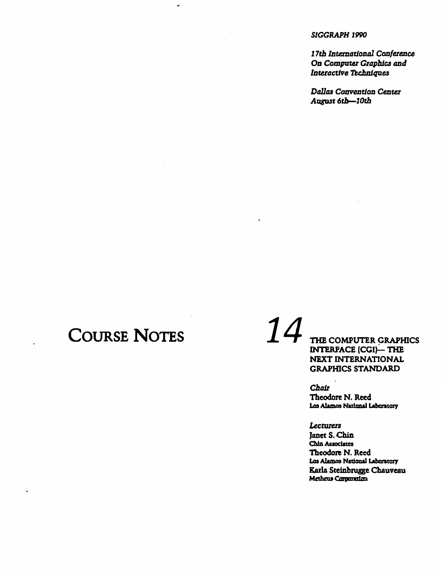#### **SIGGRAPH 1990**

17th International Conference On Computer Graphics and Interactive Techniques

**Dallas Convention Center** August 6th-10th

# **COURSE NOTES**

٠

14 THE COMPUTER GRAPHICS **INTERFACE (CGI)- THE** NEXT INTERNATIONAL **GRAPHICS STANDARD** 

> **Chair** Theodore N. Reed Los Alamos National Laboratory

#### Lecturers

Janet S. Chin Chin Associates Theodore N. Reed Los Alamos National Laboratory Karla Steinbrugge Chauveau Methens Carpenation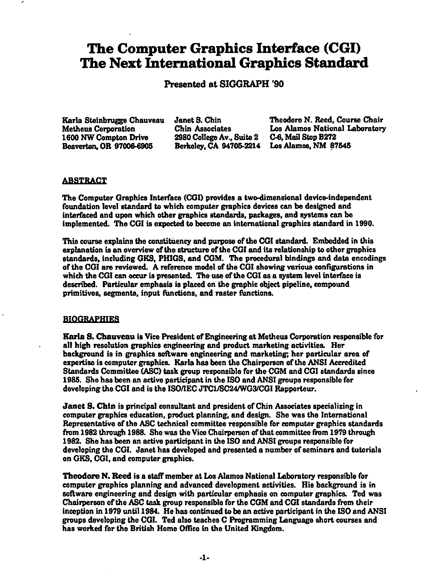## **The Computer Graphics Interface (CGI) The Next International Graphics Standard**

Presented at SIGGRAPH '90

Karla Stelnbrugge Chauveau Metheua Corporation 1600 NW Compton Drive Beaverton, OR 97006-6905

Janet S. Chin Chin Associates 2980 College Av., Suite 2 Berkeley, CA 94705-2214

Theodora N. Reed, Course Chair Los Alamos National Laboratory C-6, Mall Stop 8272 Los Alamos, NM 87545

#### **ABSTRACT**

The Computer Graphics Interface (CGI) provides a two-dimensional device-independent foundation level standard to which computer graphics devices can be designed and interfaced and upon which other graphics standards, packages, and systems can be implemented. The CGI is ezpected to become an international graphics standard in 1990.

This course explains the constituency and purpose of the CGI standard. Embedded in this esplanation is an overview of the structure of the CGI and its relationship to other graphics standards, Including OKS, PRIGS, and COM. The procedural bindings and date encodings of the COl are reviewed. A reference model of the COl showing various configurations in which the COl can occur is presented. The use of the COl as a system level interface is described. Particular emphasis is placed on the graphic object pipeline, compound primitives, segments, input functions, and raster functions.

#### **BIOGRAPHIES**

Karla S. Cbauveau is Vice President of Engineering at Metheua Corporation responsible for all high resolution graphics engineering and product marketing activities. Her background is in graphics software engineering and marketing; her particular area or expertise is computer graphics. Karla bas been the Chairperson of the ANSI Accredited Standards Committee (A5C) task group responsible for the CGM and CGI standards since 1985. She bas been an active participant in the ISO and ANSI groups responsible for developing the CGI and is the ISO/IEC JTC1/SC24/WG3/CGI Rapporteur.

Janet S. Chin is principal consultant and president or Chin Associates specializing in computer graphics education, product planning, and design. She was the International Representative of the ASC technical committee responsible for computer graphics standards from 1982 through 1988. She was the Vice Chairperson of that committee from 1979 through 1982. She bas been an active participant in the ISO and ANSI groups responsible for developing the CGI. Janet has developed and presented a number of seminars and tutorials on GKS, CGI, and computer graphics.

Theodore N. Reed is a staff member at Los Alamos National Laboratory responsible for computer graphics planning and advanced development activities. His background is in software engineering and design with particular emphasis on computer graphics. Ted was Chairperson of the ASC task group responsible for the COM and COl standards from their inception in 1979 until 1984. He has continued to be an active participant in the ISO and ANSI groups developing the COl. Ted also teaches C Programming Language short courses and bas worked for the British Home Office in the United Kingdom.